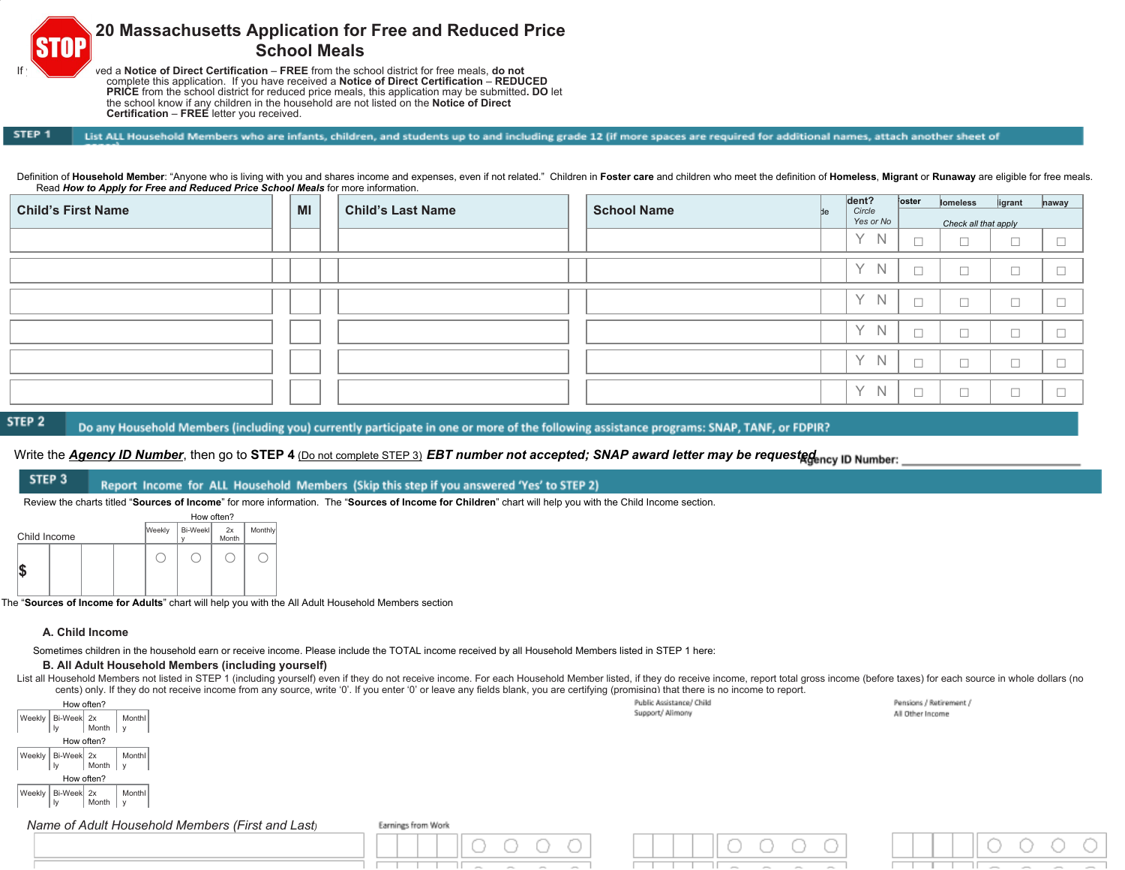

# **20 Massachusetts Application for Free and Reduced Price School Meals**

ved a Notice of Direct Certification – FREE from the school district for free meals, do not complete this application. If you have received a **Notice of Direct Certification** – **REDUCED PRICE** from the school district for reduced price meals, this application may be submitted**. DO** let the school know if any children in the household are not listed on the **Notice of Direct Certification** – **FREE** letter you received.

#### STEP<sub>1</sub>

Definition of Household Member: "Anyone who is living with you and shares income and expenses, even if not related." Children in Foster care and children who meet the definition of Homeless, Migrant or Runaway are eligible Read *How to Apply for Free and Reduced Price School Meals* for more information.

List ALL Household Members who are infants, children, and students up to and including grade 12 (if more spaces are required for additional names, attach another sheet of

| ____<br><b>Child's First Name</b> | MI | <b>Child's Last Name</b> | <b>School Name</b> | Ыe | dent?<br>Circle             | oster       | lomeless             | ligrant                       | naway                    |
|-----------------------------------|----|--------------------------|--------------------|----|-----------------------------|-------------|----------------------|-------------------------------|--------------------------|
|                                   |    |                          |                    |    | Yes or No                   |             | Check all that apply |                               |                          |
|                                   |    |                          |                    |    | Y N                         | $\Box$<br>└ | $\Box$               | $\overline{\phantom{0}}$      |                          |
|                                   |    |                          |                    |    | $\checkmark$<br>N           | $\Box$      | $\Box$               | $\overline{\phantom{a}}$<br>└ |                          |
|                                   |    |                          |                    |    | $\vee$<br><sup>N</sup>      | $\Box$      | $\Box$               | $\overline{\phantom{a}}$      |                          |
|                                   |    |                          |                    |    | $\vee$<br>$\mathbb N$       | $\Box$      | $\Box$               | $\overline{\phantom{a}}$      |                          |
|                                   |    |                          |                    |    | $\checkmark$<br>$\mathbb N$ | $\Box$      | $\Box$               | $\overline{\phantom{a}}$      |                          |
|                                   |    |                          |                    |    | $\checkmark$<br>$\mathbb N$ | $\Box$      | $\Box$               | $\overline{\phantom{a}}$      | $\overline{\phantom{a}}$ |

STEP<sub>2</sub>

Do any Household Members (including you) currently participate in one or more of the following assistance programs: SNAP, TANF, or FDPIR?

# Write the *Agency ID Number*, then go to STEP 4 (Do not complete STEP 3) *EBT number not accepted; SNAP award letter may be requested* in Number:

#### STEP<sub>3</sub> Report Income for ALL Household Members (Skip this step if you answered 'Yes' to STEP 2)

Review the charts titled "**Sources of Income**" for more information. The "**Sources of Income for Children**" chart will help you with the Child Income section.



The "**Sources of Income for Adults**" chart will help you with the All Adult Household Members section

### **A. Child Income**

Sometimes children in the household earn or receive income. Please include the TOTAL income received by all Household Members listed in STEP 1 here:

### **B. All Adult Household Members (including yourself)**

List all Household Members not listed in STEP 1 (including yourself) even if they do not receive income. For each Household Member listed, if they do receive income, report total gross income (before taxes) for each source cents) only. If they do not receive income from any source, write '0'. If you enter '0' or leave any fields blank, you are certifying (promising) that there is no income to report.

|                                                  | .                  |                          |                         |
|--------------------------------------------------|--------------------|--------------------------|-------------------------|
| How often?                                       |                    | Public Assistance/ Child | Pensions / Retirement / |
| Monthl<br>Weekly   Bi-Week 2x                    |                    | Support/ Alimony         | All Other Income        |
| Month<br>$\mathsf{v}$                            |                    |                          |                         |
| How often?                                       |                    |                          |                         |
| Weekly   Bi-Week 2x<br>Monthl                    |                    |                          |                         |
| Month<br>$\mathbf{h}$<br>$\mathsf{v}$            |                    |                          |                         |
| How often?                                       |                    |                          |                         |
| Weekly   Bi-Week 2x<br>Monthl                    |                    |                          |                         |
| Month<br>$\mathbf{h}$<br>. I v                   |                    |                          |                         |
|                                                  |                    |                          |                         |
| Name of Adult Household Members (First and Last) | Earnings from Work |                          |                         |
|                                                  |                    |                          |                         |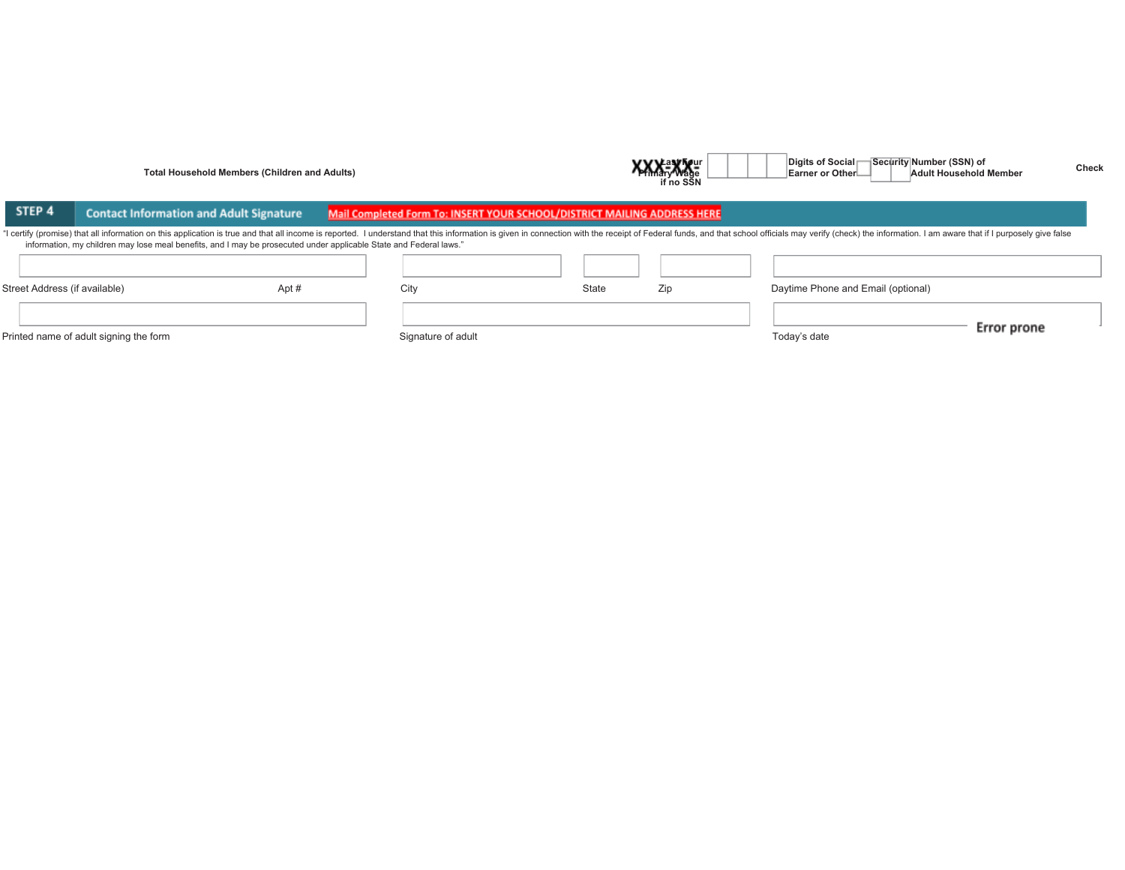|                               | <b>Total Household Members (Children and Adults)</b>                                                                                                                                                                                                                                                                                                |                                                                          |              | <b>A Mary Wage</b><br>if no SŠN | $-0.9132 - 0.1202$<br>Earner or Other—<br><b>Adult Household Member</b> | <b>Check</b> |
|-------------------------------|-----------------------------------------------------------------------------------------------------------------------------------------------------------------------------------------------------------------------------------------------------------------------------------------------------------------------------------------------------|--------------------------------------------------------------------------|--------------|---------------------------------|-------------------------------------------------------------------------|--------------|
| STEP 4                        | <b>Contact Information and Adult Signature</b>                                                                                                                                                                                                                                                                                                      | Mail Completed Form To: INSERT YOUR SCHOOL/DISTRICT MAILING ADDRESS HERE |              |                                 |                                                                         |              |
|                               | "I certify (promise) that all information on this application is true and that all income is reported. I understand that this information is given in connection with the receipt of Federal funds, and that school officials<br>information, my children may lose meal benefits, and I may be prosecuted under applicable State and Federal laws." |                                                                          |              |                                 |                                                                         |              |
| Street Address (if available) | Apt#                                                                                                                                                                                                                                                                                                                                                | City                                                                     | Zip<br>State |                                 | Daytime Phone and Email (optional)                                      | Error prone  |
|                               | Printed name of adult signing the form                                                                                                                                                                                                                                                                                                              | Signature of adult                                                       |              |                                 | Today's date                                                            |              |

**Last Four Digits of Social Security Number (SSN) of**

**Check**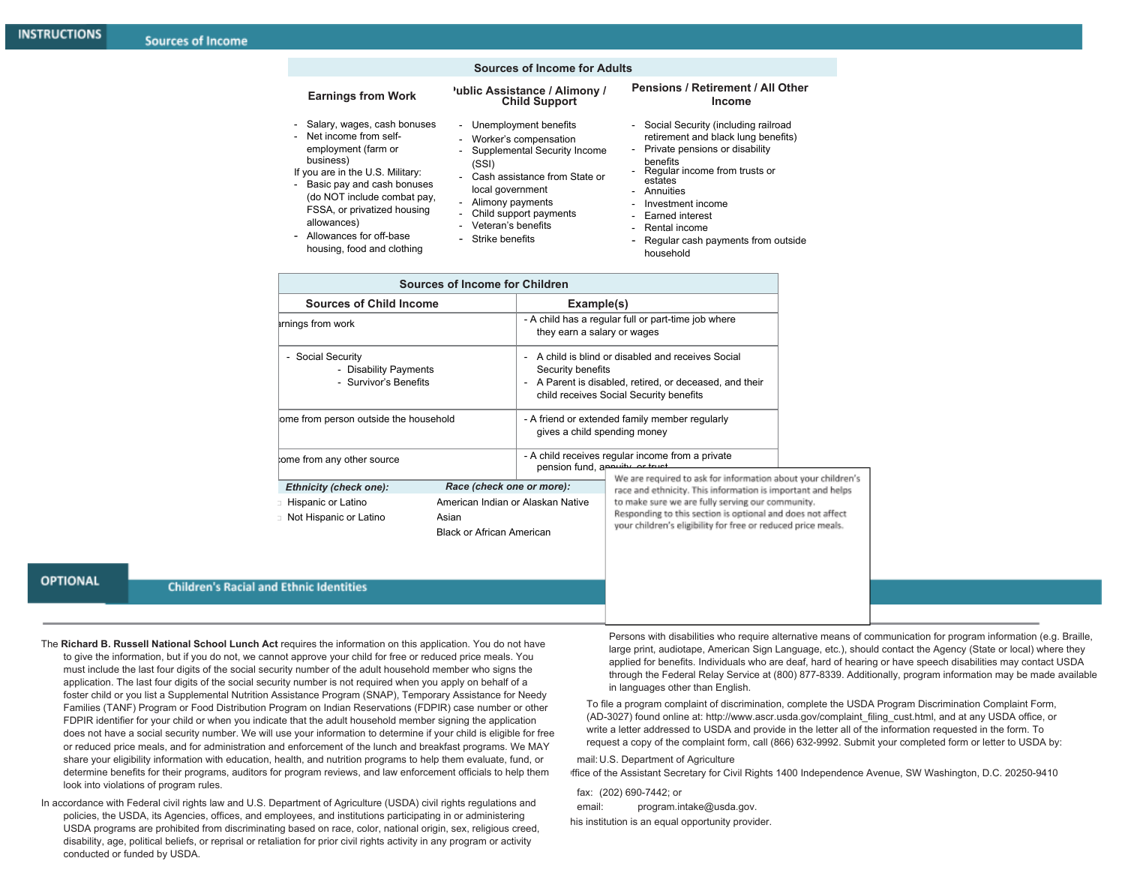### **Sources of Income for Adults**

#### **Earnings from Work**

business)

allowances)

#### **Public Assistance / Alimony / Child Support**

- Salary, wages, cash bonuses - Unemployment benefits
- Net income from selfemployment (farm or - Worker's compensation
	- Supplemental Security Income (SSI)
	- Cash assistance from State or
	- local government - Alimony payments
	-
	-
	- Strike benefits
- Allowances for off-base housing, food and clothing

If you are in the U.S. Military: Basic pay and cash bonuses (do NOT include combat pay, FSSA, or privatized housing

- 
- Child support payments
- Veteran's benefits
- -

### **Pensions / Retirement / All Other Income**

- Social Security (including railroad retirement and black lung benefits)
- Private pensions or disability benefits
- Regular income from trusts or estates
- **Annuities**
- Investment income
- Earned interest
- Rental income
- Regular cash payments from outside household

| Sources of Income for Children                                      |                                                                                |                                                                                                                                                                                |                                                                                                                                                        |  |
|---------------------------------------------------------------------|--------------------------------------------------------------------------------|--------------------------------------------------------------------------------------------------------------------------------------------------------------------------------|--------------------------------------------------------------------------------------------------------------------------------------------------------|--|
| <b>Sources of Child Income</b>                                      |                                                                                | Example(s)                                                                                                                                                                     |                                                                                                                                                        |  |
| irnings from work                                                   |                                                                                | they earn a salary or wages                                                                                                                                                    | - A child has a regular full or part-time job where                                                                                                    |  |
| - Social Security<br>- Disability Payments<br>- Survivor's Benefits |                                                                                | Security benefits                                                                                                                                                              | A child is blind or disabled and receives Social<br>- A Parent is disabled, retired, or deceased, and their<br>child receives Social Security benefits |  |
| ome from person outside the household                               |                                                                                |                                                                                                                                                                                | - A friend or extended family member regularly<br>gives a child spending money                                                                         |  |
| tome from any other source                                          |                                                                                | pension fund, applitude or truet                                                                                                                                               | - A child receives regular income from a private                                                                                                       |  |
| Race (check one or more):<br><b>Ethnicity (check one):</b>          |                                                                                |                                                                                                                                                                                | We are required to ask for information about your children's<br>race and ethnicity. This information is important and helps                            |  |
| Hispanic or Latino<br><b>Not Hispanic or Latino</b>                 | American Indian or Alaskan Native<br>Asian<br><b>Black or African American</b> | to make sure we are fully serving our community.<br>Responding to this section is optional and does not affect<br>your children's eligibility for free or reduced price meals. |                                                                                                                                                        |  |
| nd Ethnic Identities                                                |                                                                                |                                                                                                                                                                                |                                                                                                                                                        |  |

**OPTIONAL** 

### **Children's Racial a**

The **Richard B. Russell National School Lunch Act** requires the information on this application. You do not have to give the information, but if you do not, we cannot approve your child for free or reduced price meals. You must include the last four digits of the social security number of the adult household member who signs the application. The last four digits of the social security number is not required when you apply on behalf of a foster child or you list a Supplemental Nutrition Assistance Program (SNAP), Temporary Assistance for Needy Families (TANF) Program or Food Distribution Program on Indian Reservations (FDPIR) case number or other FDPIR identifier for your child or when you indicate that the adult household member signing the application does not have a social security number. We will use your information to determine if your child is eligible for free or reduced price meals, and for administration and enforcement of the lunch and breakfast programs. We MAY share your eligibility information with education, health, and nutrition programs to help them evaluate, fund, or determine benefits for their programs, auditors for program reviews, and law enforcement officials to help them look into violations of program rules.

In accordance with Federal civil rights law and U.S. Department of Agriculture (USDA) civil rights regulations and policies, the USDA, its Agencies, offices, and employees, and institutions participating in or administering USDA programs are prohibited from discriminating based on race, color, national origin, sex, religious creed, disability, age, political beliefs, or reprisal or retaliation for prior civil rights activity in any program or activity conducted or funded by USDA.

Persons with disabilities who require alternative means of communication for program information (e.g. Braille, large print, audiotape, American Sign Language, etc.), should contact the Agency (State or local) where they applied for benefits. Individuals who are deaf, hard of hearing or have speech disabilities may contact USDA through the Federal Relay Service at (800) 877-8339. Additionally, program information may be made available in languages other than English.

To file a program complaint of discrimination, complete the USDA Program Discrimination Complaint Form, (AD-3027) found online at: http://www.ascr.usda.gov/complaint\_filing\_cust.html, and at any USDA office, or write a letter addressed to USDA and provide in the letter all of the information requested in the form. To request a copy of the complaint form, call (866) 632-9992. Submit your completed form or letter to USDA by:

#### mail:U.S. Department of Agriculture

ffice of the Assistant Secretary for Civil Rights 1400 Independence Avenue, SW Washington, D.C. 20250-9410

fax: (202) 690-7442; or

email: [program.intake@usda.gov.](mailto:program.intake@usda.gov)

his institution is an equal opportunity provider.